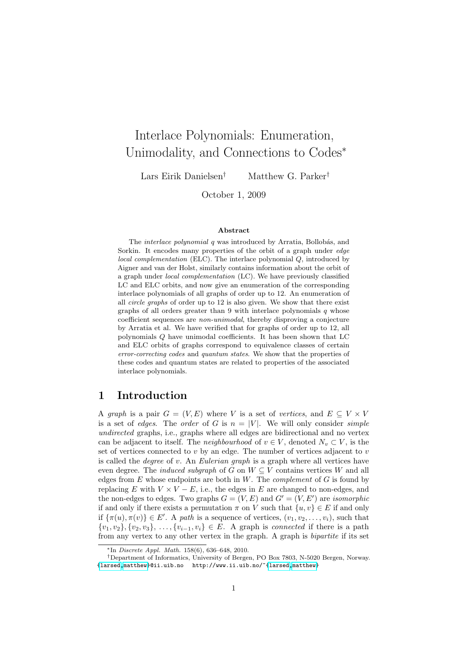# Interlace Polynomials: Enumeration, Unimodality, and Connections to Codes<sup>∗</sup>

Lars Eirik Danielsen† Matthew G. Parker†

October 1, 2009

#### Abstract

The *interlace polynomial* q was introduced by Arratia, Bollobás, and Sorkin. It encodes many properties of the orbit of a graph under edge local complementation (ELC). The interlace polynomial  $Q$ , introduced by Aigner and van der Holst, similarly contains information about the orbit of a graph under local complementation (LC). We have previously classified LC and ELC orbits, and now give an enumeration of the corresponding interlace polynomials of all graphs of order up to 12. An enumeration of all circle graphs of order up to 12 is also given. We show that there exist graphs of all orders greater than 9 with interlace polynomials  $q$  whose coefficient sequences are non-unimodal, thereby disproving a conjecture by Arratia et al. We have verified that for graphs of order up to 12, all polynomials Q have unimodal coefficients. It has been shown that LC and ELC orbits of graphs correspond to equivalence classes of certain error-correcting codes and quantum states. We show that the properties of these codes and quantum states are related to properties of the associated interlace polynomials.

# 1 Introduction

A graph is a pair  $G = (V, E)$  where V is a set of vertices, and  $E \subseteq V \times V$ is a set of edges. The order of G is  $n = |V|$ . We will only consider *simple* undirected graphs, i.e., graphs where all edges are bidirectional and no vertex can be adjacent to itself. The *neighbourhood* of  $v \in V$ , denoted  $N_v \subset V$ , is the set of vertices connected to  $v$  by an edge. The number of vertices adjacent to  $v$ is called the *degree* of v. An *Eulerian graph* is a graph where all vertices have even degree. The *induced subgraph* of G on  $W \subseteq V$  contains vertices W and all edges from  $E$  whose endpoints are both in  $W$ . The *complement* of  $G$  is found by replacing E with  $V \times V - E$ , i.e., the edges in E are changed to non-edges, and the non-edges to edges. Two graphs  $G = (V, E)$  and  $G' = (V, E')$  are *isomorphic* if and only if there exists a permutation  $\pi$  on V such that  $\{u, v\} \in E$  if and only if  $\{\pi(u), \pi(v)\}\in E'$ . A path is a sequence of vertices,  $(v_1, v_2, \ldots, v_i)$ , such that  $\{v_1, v_2\}, \{v_2, v_3\}, \ldots, \{v_{i-1}, v_i\} \in E$ . A graph is *connected* if there is a path from any vertex to any other vertex in the graph. A graph is bipartite if its set

 $*$ In *Discrete Appl. Math.* 158(6), 636–648, 2010.

<sup>†</sup>Department of Informatics, University of Bergen, PO Box 7803, N-5020 Bergen, Norway. [{larsed,](mailto:larsed@ii.uib.no)[matthew}](mailto:matthew@ii.uib.no)@ii.uib.no http://www.ii.uib.no/~[{larsed](http://www.ii.uib.no/~larsed)[,matthew}](http://www.ii.uib.no/~matthew)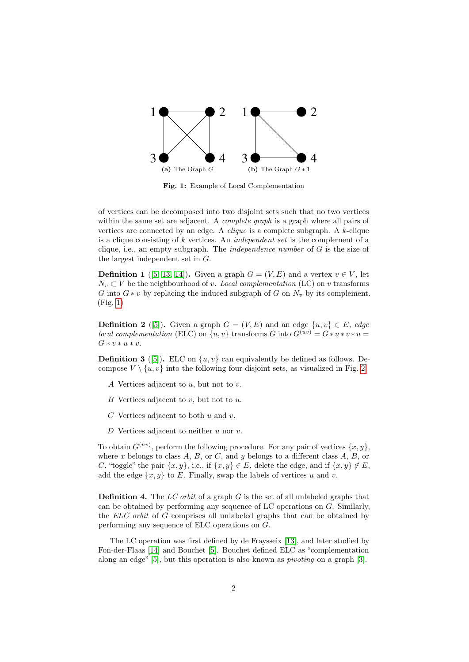

<span id="page-1-0"></span>Fig. 1: Example of Local Complementation

of vertices can be decomposed into two disjoint sets such that no two vertices within the same set are adjacent. A *complete graph* is a graph where all pairs of vertices are connected by an edge. A *clique* is a complete subgraph. A  $k$ -clique is a clique consisting of k vertices. An independent set is the complement of a clique, i.e., an empty subgraph. The *independence number* of  $G$  is the size of the largest independent set in G.

**Definition 1** ([\[5,](#page-17-0) [13,](#page-17-1) [14\]](#page-17-2)). Given a graph  $G = (V, E)$  and a vertex  $v \in V$ , let  $N_v \subset V$  be the neighbourhood of v. Local complementation (LC) on v transforms G into  $G * v$  by replacing the induced subgraph of G on  $N_v$  by its complement. (Fig. [1\)](#page-1-0)

**Definition 2** ([\[5\]](#page-17-0)). Given a graph  $G = (V, E)$  and an edge  $\{u, v\} \in E$ , edge local complementation (ELC) on  $\{u, v\}$  transforms G into  $G^{(uv)} = G * u * v * u =$  $G * v * u * v.$ 

**Definition 3** ([\[5\]](#page-17-0)). ELC on  $\{u, v\}$  can equivalently be defined as follows. Decompose  $V \setminus \{u, v\}$  into the following four disjoint sets, as visualized in Fig. [2.](#page-2-0)

- A Vertices adjacent to  $u$ , but not to  $v$ .
- $B$  Vertices adjacent to  $v$ , but not to  $u$ .
- $C$  Vertices adjacent to both  $u$  and  $v$ .
- D Vertices adjacent to neither  $u$  nor  $v$ .

To obtain  $G^{(uv)}$ , perform the following procedure. For any pair of vertices  $\{x, y\}$ , where x belongs to class  $A, B$ , or  $C$ , and y belongs to a different class  $A, B$ , or C, "toggle" the pair  $\{x, y\}$ , i.e., if  $\{x, y\} \in E$ , delete the edge, and if  $\{x, y\} \notin E$ , add the edge  $\{x, y\}$  to E. Finally, swap the labels of vertices u and v.

**Definition 4.** The LC orbit of a graph G is the set of all unlabeled graphs that can be obtained by performing any sequence of LC operations on G. Similarly, the ELC orbit of G comprises all unlabeled graphs that can be obtained by performing any sequence of ELC operations on G.

The LC operation was first defined by de Fraysseix [\[13\]](#page-17-1), and later studied by Fon-der-Flaas [\[14\]](#page-17-2) and Bouchet [\[5\]](#page-17-0). Bouchet defined ELC as "complementation along an edge"  $[5]$ , but this operation is also known as *pivoting* on a graph  $[3]$ .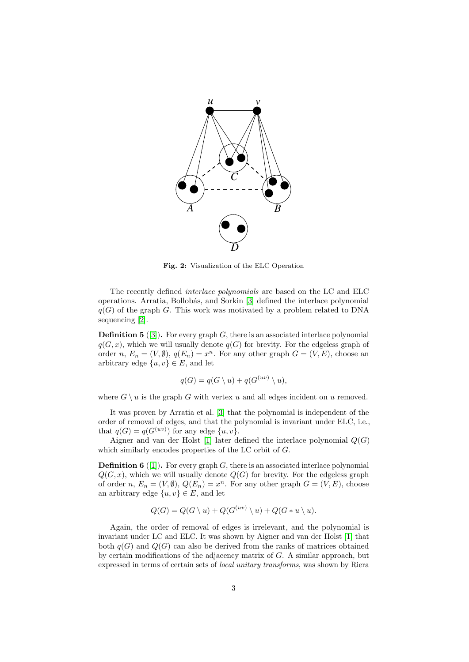

<span id="page-2-0"></span>Fig. 2: Visualization of the ELC Operation

The recently defined interlace polynomials are based on the LC and ELC operations. Arratia, Bollob´as, and Sorkin [\[3\]](#page-16-0) defined the interlace polynomial  $q(G)$  of the graph G. This work was motivated by a problem related to DNA sequencing [\[2\]](#page-16-1).

<span id="page-2-1"></span>**Definition 5** ([\[3\]](#page-16-0)). For every graph  $G$ , there is an associated interlace polynomial  $q(G, x)$ , which we will usually denote  $q(G)$  for brevity. For the edgeless graph of order n,  $E_n = (V, \emptyset)$ ,  $q(E_n) = x^n$ . For any other graph  $G = (V, E)$ , choose an arbitrary edge  $\{u, v\} \in E$ , and let

$$
q(G) = q(G \setminus u) + q(G^{(uv)} \setminus u),
$$

where  $G \setminus u$  is the graph G with vertex u and all edges incident on u removed.

It was proven by Arratia et al. [\[3\]](#page-16-0) that the polynomial is independent of the order of removal of edges, and that the polynomial is invariant under ELC, i.e., that  $q(G) = q(G^{(uv)})$  for any edge  $\{u, v\}$ .

Aigner and van der Holst [\[1\]](#page-16-2) later defined the interlace polynomial  $Q(G)$ which similarly encodes properties of the LC orbit of G.

<span id="page-2-2"></span>**Definition 6** ([\[1\]](#page-16-2)). For every graph  $G$ , there is an associated interlace polynomial  $Q(G, x)$ , which we will usually denote  $Q(G)$  for brevity. For the edgeless graph of order n,  $E_n = (V, \emptyset)$ ,  $Q(E_n) = x^n$ . For any other graph  $G = (V, E)$ , choose an arbitrary edge  $\{u, v\} \in E$ , and let

$$
Q(G) = Q(G \setminus u) + Q(G^{(uv)} \setminus u) + Q(G * u \setminus u).
$$

Again, the order of removal of edges is irrelevant, and the polynomial is invariant under LC and ELC. It was shown by Aigner and van der Holst [\[1\]](#page-16-2) that both  $q(G)$  and  $Q(G)$  can also be derived from the ranks of matrices obtained by certain modifications of the adjacency matrix of  $G$ . A similar approach, but expressed in terms of certain sets of local unitary transforms, was shown by Riera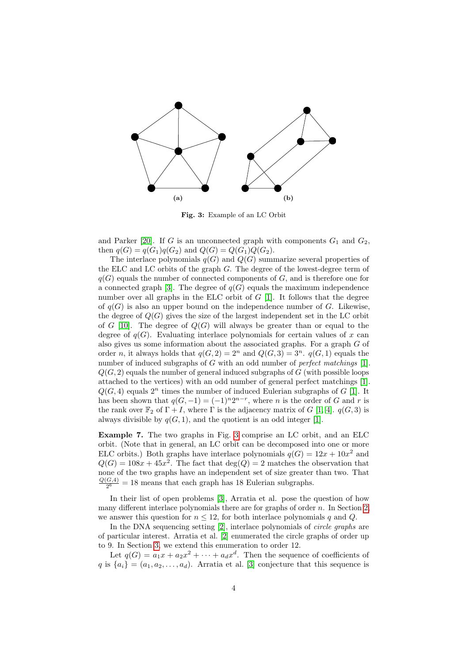

<span id="page-3-0"></span>Fig. 3: Example of an LC Orbit

and Parker [\[20\]](#page-17-3). If G is an unconnected graph with components  $G_1$  and  $G_2$ , then  $q(G) = q(G_1)q(G_2)$  and  $Q(G) = Q(G_1)Q(G_2)$ .

The interlace polynomials  $q(G)$  and  $Q(G)$  summarize several properties of the ELC and LC orbits of the graph  $G$ . The degree of the lowest-degree term of  $q(G)$  equals the number of connected components of G, and is therefore one for a connected graph [\[3\]](#page-16-0). The degree of  $q(G)$  equals the maximum independence number over all graphs in the ELC orbit of  $G$  [\[1\]](#page-16-2). It follows that the degree of  $q(G)$  is also an upper bound on the independence number of G. Likewise, the degree of  $Q(G)$  gives the size of the largest independent set in the LC orbit of G [\[10\]](#page-17-4). The degree of  $Q(G)$  will always be greater than or equal to the degree of  $q(G)$ . Evaluating interlace polynomials for certain values of x can also gives us some information about the associated graphs. For a graph G of order n, it always holds that  $q(G, 2) = 2^n$  and  $Q(G, 3) = 3^n$ .  $q(G, 1)$  equals the number of induced subgraphs of G with an odd number of *perfect matchings* [\[1\]](#page-16-2).  $Q(G, 2)$  equals the number of general induced subgraphs of G (with possible loops attached to the vertices) with an odd number of general perfect matchings [\[1\]](#page-16-2).  $Q(G, 4)$  equals  $2^n$  times the number of induced Eulerian subgraphs of G [\[1\]](#page-16-2). It has been shown that  $q(G, -1) = (-1)^n 2^{n-r}$ , where *n* is the order of G and r is the rank over  $\mathbb{F}_2$  of  $\Gamma + I$ , where  $\Gamma$  is the adjacency matrix of G [\[1,](#page-16-2) [4\]](#page-17-5).  $q(G, 3)$  is always divisible by  $q(G, 1)$ , and the quotient is an odd integer [\[1\]](#page-16-2).

Example 7. The two graphs in Fig. [3](#page-3-0) comprise an LC orbit, and an ELC orbit. (Note that in general, an LC orbit can be decomposed into one or more ELC orbits.) Both graphs have interlace polynomials  $q(G) = 12x + 10x^2$  and  $Q(G) = 108x + 45x^2$ . The fact that  $deg(Q) = 2$  matches the observation that none of the two graphs have an independent set of size greater than two. That  $Q(G,4)$  $\frac{G(4)}{2^6}$  = 18 means that each graph has 18 Eulerian subgraphs.

In their list of open problems [\[3\]](#page-16-0), Arratia et al. pose the question of how many different interlace polynomials there are for graphs of order  $n$ . In Section [2,](#page-4-0) we answer this question for  $n \leq 12$ , for both interlace polynomials q and Q.

In the DNA sequencing setting [\[2\]](#page-16-1), interlace polynomials of *circle graphs* are of particular interest. Arratia et al. [\[2\]](#page-16-1) enumerated the circle graphs of order up to 9. In Section [3,](#page-5-0) we extend this enumeration to order 12.

Let  $q(G) = a_1x + a_2x^2 + \cdots + a_dx^d$ . Then the sequence of coefficients of q is  ${a_i} = (a_1, a_2, \ldots, a_d)$ . Arratia et al. [\[3\]](#page-16-0) conjecture that this sequence is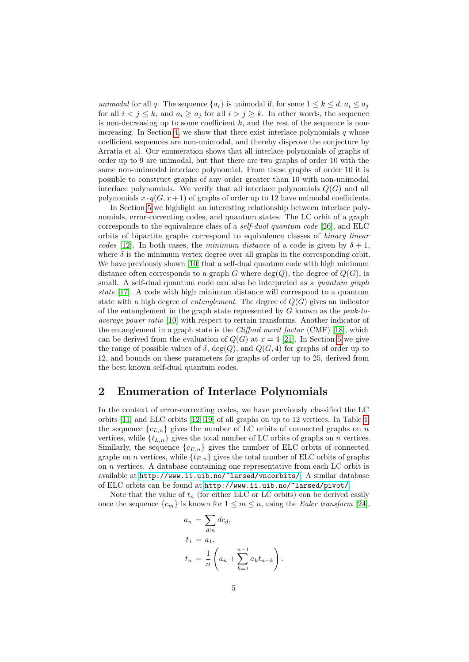unimodal for all q. The sequence  $\{a_i\}$  is unimodal if, for some  $1 \leq k \leq d$ ,  $a_i \leq a_j$ for all  $i < j \le k$ , and  $a_i \ge a_j$  for all  $i > j \ge k$ . In other words, the sequence is non-decreasing up to some coefficient  $k$ , and the rest of the sequence is non-increasing. In Section [4,](#page-6-0) we show that there exist interlace polynomials  $q$  whose coefficient sequences are non-unimodal, and thereby disprove the conjecture by Arratia et al. Our enumeration shows that all interlace polynomials of graphs of order up to 9 are unimodal, but that there are two graphs of order 10 with the same non-unimodal interlace polynomial. From these graphs of order 10 it is possible to construct graphs of any order greater than 10 with non-unimodal interlace polynomials. We verify that all interlace polynomials  $Q(G)$  and all polynomials  $x \cdot q(G, x+1)$  of graphs of order up to 12 have unimodal coefficients.

In Section [5](#page-9-0) we highlight an interesting relationship between interlace polynomials, error-correcting codes, and quantum states. The LC orbit of a graph corresponds to the equivalence class of a self-dual quantum code [\[26\]](#page-18-0), and ELC orbits of bipartite graphs correspond to equivalence classes of binary linear codes [\[12\]](#page-17-6). In both cases, the minimum distance of a code is given by  $\delta + 1$ , where  $\delta$  is the minimum vertex degree over all graphs in the corresponding orbit. We have previously shown [\[10\]](#page-17-4) that a self-dual quantum code with high minimum distance often corresponds to a graph G where  $deg(Q)$ , the degree of  $Q(G)$ , is small. A self-dual quantum code can also be interpreted as a *quantum graph* state [\[17\]](#page-17-7). A code with high minimum distance will correspond to a quantum state with a high degree of *entanglement*. The degree of  $Q(G)$  gives an indicator of the entanglement in the graph state represented by  $G$  known as the *peak-to*average power ratio [\[10\]](#page-17-4) with respect to certain transforms. Another indicator of the entanglement in a graph state is the *Clifford merit factor* (CMF) [\[18\]](#page-17-8), which can be derived from the evaluation of  $Q(G)$  at  $x = 4$  [\[21\]](#page-17-9). In Section [5](#page-9-0) we give the range of possible values of  $\delta$ , deg(Q), and  $Q(G, 4)$  for graphs of order up to 12, and bounds on these parameters for graphs of order up to 25, derived from the best known self-dual quantum codes.

# <span id="page-4-0"></span>2 Enumeration of Interlace Polynomials

In the context of error-correcting codes, we have previously classified the LC orbits [\[11\]](#page-17-10) and ELC orbits [\[12,](#page-17-6) [19\]](#page-17-11) of all graphs on up to 12 vertices. In Table [1,](#page-5-1) the sequence  ${c_{L,n}}$  gives the number of LC orbits of connected graphs on n vertices, while  $\{t_{L,n}\}$  gives the total number of LC orbits of graphs on n vertices. Similarly, the sequence  ${c_{E,n}}$  gives the number of ELC orbits of connected graphs on *n* vertices, while  ${t_{E,n}}$  gives the total number of ELC orbits of graphs on n vertices. A database containing one representative from each LC orbit is available at <http://www.ii.uib.no/~larsed/vncorbits/>. A similar database of ELC orbits can be found at <http://www.ii.uib.no/~larsed/pivot/>.

Note that the value of  $t_n$  (for either ELC or LC orbits) can be derived easily once the sequence  $\{c_m\}$  is known for  $1 \leq m \leq n$ , using the *Euler transform* [\[24\]](#page-17-12),

$$
a_n = \sum_{d|n} dc_d,
$$
  
\n
$$
t_1 = a_1,
$$
  
\n
$$
t_n = \frac{1}{n} \left( a_n + \sum_{k=1}^{n-1} a_k t_{n-k} \right).
$$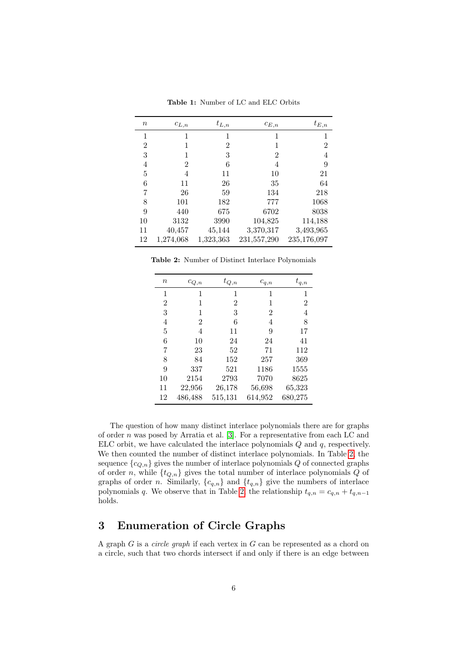| $\it{n}$ | $c_{L,n}$ | $t_{L,n}$ | $c_{E,n}$      | $t_{E,n}$   |
|----------|-----------|-----------|----------------|-------------|
| 1        | 1         | 1         | 1              | 1           |
| 2        |           | 2         | 1              | 2           |
| 3        | 1         | 3         | $\overline{2}$ | 4           |
| 4        | 2         | 6         | 4              | 9           |
| 5        | 4         | 11        | 10             | 21          |
| 6        | 11        | 26        | 35             | 64          |
| 7        | 26        | 59        | 134            | 218         |
| 8        | 101       | 182       | 777            | 1068        |
| 9        | 440       | 675       | 6702           | 8038        |
| 10       | 3132      | 3990      | 104,825        | 114,188     |
| 11       | 40,457    | 45,144    | 3,370,317      | 3,493,965   |
| 12       | 1,274,068 | 1,323,363 | 231,557,290    | 235,176,097 |

<span id="page-5-1"></span>Table 1: Number of LC and ELC Orbits

Table 2: Number of Distinct Interlace Polynomials

<span id="page-5-2"></span>

| $\it{n}$ | $c_{Q,n}$ | $t_{Q,n}$ | $c_{q,n}$ | $t_{q,n}$ |
|----------|-----------|-----------|-----------|-----------|
| 1        | 1         | 1         | 1         | 1         |
| 2        | 1         | 2         | 1         | 2         |
| 3        | 1         | 3         | 2         | 4         |
| 4        | 2         | 6         | 4         | 8         |
| 5        | 4         | 11        | 9         | 17        |
| 6        | 10        | 24        | 24        | 41        |
| 7        | 23        | 52        | 71        | 112       |
| 8        | 84        | 152       | 257       | 369       |
| 9        | 337       | 521       | 1186      | 1555      |
| 10       | 2154      | 2793      | 7070      | 8625      |
| 11       | 22,956    | 26,178    | 56,698    | 65,323    |
| 12       | 486,488   | 515,131   | 614,952   | 680,275   |

The question of how many distinct interlace polynomials there are for graphs of order n was posed by Arratia et al. [\[3\]](#page-16-0). For a representative from each LC and ELC orbit, we have calculated the interlace polynomials  $Q$  and  $q$ , respectively. We then counted the number of distinct interlace polynomials. In Table [2,](#page-5-2) the sequence  ${c_{Q,n}}$  gives the number of interlace polynomials Q of connected graphs of order n, while  $\{t_{Q,n}\}$  gives the total number of interlace polynomials  $Q$  of graphs of order n. Similarly,  $\{c_{q,n}\}$  and  $\{t_{q,n}\}$  give the numbers of interlace polynomials q. We observe that in Table [2,](#page-5-2) the relationship  $t_{q,n} = c_{q,n} + t_{q,n-1}$ holds.

# <span id="page-5-0"></span>3 Enumeration of Circle Graphs

A graph  $G$  is a *circle graph* if each vertex in  $G$  can be represented as a chord on a circle, such that two chords intersect if and only if there is an edge between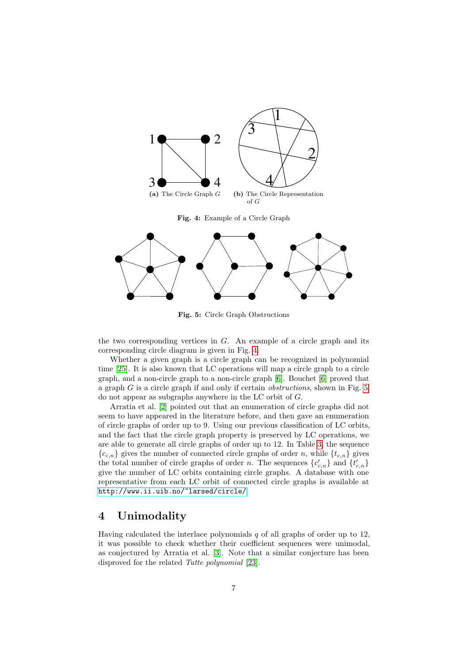

<span id="page-6-1"></span>Fig. 4: Example of a Circle Graph



<span id="page-6-2"></span>Fig. 5: Circle Graph Obstructions

the two corresponding vertices in  $G$ . An example of a circle graph and its corresponding circle diagram is given in Fig. [4.](#page-6-1)

Whether a given graph is a circle graph can be recognized in polynomial time [\[25\]](#page-18-1). It is also known that LC operations will map a circle graph to a circle graph, and a non-circle graph to a non-circle graph [\[6\]](#page-17-13). Bouchet [\[6\]](#page-17-13) proved that a graph  $G$  is a circle graph if and only if certain *obstructions*, shown in Fig. [5,](#page-6-2) do not appear as subgraphs anywhere in the LC orbit of G.

Arratia et al. [\[2\]](#page-16-1) pointed out that an enumeration of circle graphs did not seem to have appeared in the literature before, and then gave an enumeration of circle graphs of order up to 9. Using our previous classification of LC orbits, and the fact that the circle graph property is preserved by LC operations, we are able to generate all circle graphs of order up to 12. In Table [3,](#page-7-0) the sequence  ${c_{c,n}}$  gives the number of connected circle graphs of order n, while  ${t_{c,n}}$  gives the total number of circle graphs of order n. The sequences  ${c'_{c,n}}$  and  ${t'_{c,n}}$ give the number of LC orbits containing circle graphs. A database with one representative from each LC orbit of connected circle graphs is available at <http://www.ii.uib.no/~larsed/circle/>.

# <span id="page-6-0"></span>4 Unimodality

Having calculated the interlace polynomials  $q$  of all graphs of order up to 12, it was possible to check whether their coefficient sequences were unimodal, as conjectured by Arratia et al. [\[3\]](#page-16-0). Note that a similar conjecture has been disproved for the related *Tutte polynomial* [\[23\]](#page-17-14).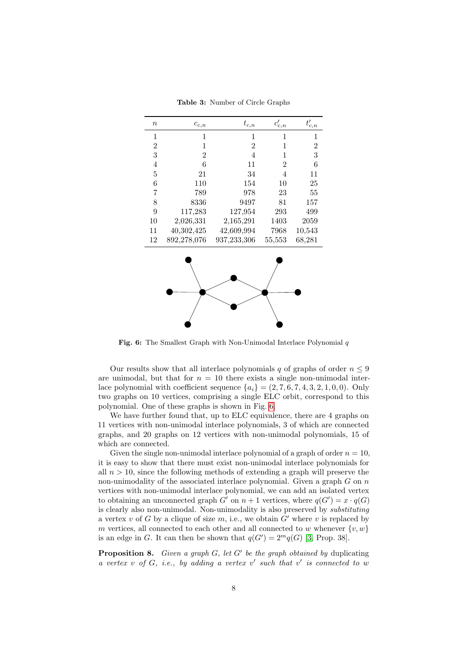| $\boldsymbol{n}$ | $c_{c,n}$      | $t_{c,n}$        | $c'_{c,\underline{n}}$ | $t'_{c,\underline{n}}$ |
|------------------|----------------|------------------|------------------------|------------------------|
|                  |                |                  |                        |                        |
| $\mathbf 1$      | $\mathbf{1}$   | 1                | 1                      | 1                      |
| $\overline{2}$   | $\mathbf{1}$   | $\boldsymbol{2}$ | 1                      | $\overline{2}$         |
| 3                | $\overline{2}$ | 4                | 1                      | 3                      |
| $\overline{4}$   | 6              | 11               | $\overline{2}$         | 6                      |
| 5                | 21             | 34               | 4                      | 11                     |
| 6                | 110            | 154              | 10                     | 25                     |
| 7                | 789            | 978              | 23                     | 55                     |
| 8                | 8336           | 9497             | 81                     | 157                    |
| 9                | 117,283        | 127,954          | 293                    | 499                    |
| 10               | 2,026,331      | 2,165,291        | 1403                   | 2059                   |
| 11               | 40,302,425     | 42,609,994       | 7968                   | 10,543                 |
| 12               | 892,278,076    | 937,233,306      | 55,553                 | 68,281                 |
|                  |                |                  |                        |                        |

<span id="page-7-0"></span>Table 3: Number of Circle Graphs

<span id="page-7-1"></span>Fig. 6: The Smallest Graph with Non-Unimodal Interlace Polynomial  $q$ 

Our results show that all interlace polynomials q of graphs of order  $n \leq 9$ are unimodal, but that for  $n = 10$  there exists a single non-unimodal interlace polynomial with coefficient sequence  ${a_i} = (2, 7, 6, 7, 4, 3, 2, 1, 0, 0)$ . Only two graphs on 10 vertices, comprising a single ELC orbit, correspond to this polynomial. One of these graphs is shown in Fig. [6.](#page-7-1)

We have further found that, up to ELC equivalence, there are 4 graphs on 11 vertices with non-unimodal interlace polynomials, 3 of which are connected graphs, and 20 graphs on 12 vertices with non-unimodal polynomials, 15 of which are connected.

Given the single non-unimodal interlace polynomial of a graph of order  $n = 10$ , it is easy to show that there must exist non-unimodal interlace polynomials for all  $n > 10$ , since the following methods of extending a graph will preserve the non-unimodality of the associated interlace polynomial. Given a graph  $G$  on  $n$ vertices with non-unimodal interlace polynomial, we can add an isolated vertex to obtaining an unconnected graph G' on  $n + 1$  vertices, where  $q(G') = x \cdot q(G)$ is clearly also non-unimodal. Non-unimodality is also preserved by substituting a vertex v of G by a clique of size m, i.e., we obtain  $G'$  where v is replaced by m vertices, all connected to each other and all connected to w whenever  $\{v, w\}$ is an edge in G. It can then be shown that  $q(G') = 2^m q(G)$  [\[3,](#page-16-0) Prop. 38].

<span id="page-7-2"></span>**Proposition 8.** Given a graph  $G$ , let  $G'$  be the graph obtained by duplicating a vertex  $v$  of  $G$ , i.e., by adding a vertex  $v'$  such that  $v'$  is connected to  $w$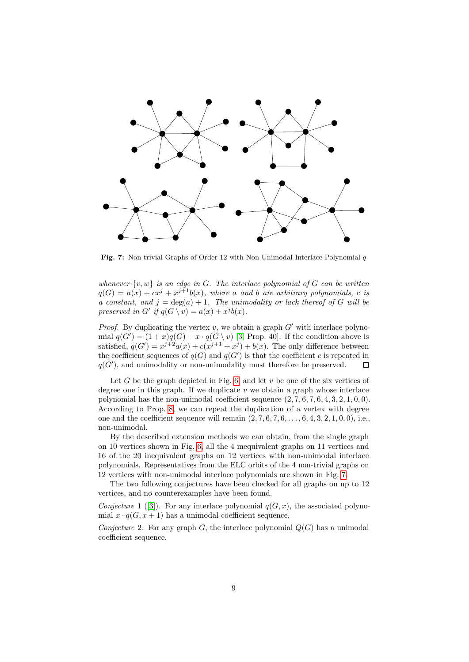

<span id="page-8-0"></span>Fig. 7: Non-trivial Graphs of Order 12 with Non-Unimodal Interlace Polynomial q

whenever  $\{v, w\}$  is an edge in G. The interlace polynomial of G can be written  $q(G) = a(x) + cx^{j} + x^{j+1}b(x)$ , where a and b are arbitrary polynomials, c is a constant, and  $j = \deg(a) + 1$ . The unimodality or lack thereof of G will be preserved in G' if  $q(G \setminus v) = a(x) + x^{j}b(x)$ .

*Proof.* By duplicating the vertex  $v$ , we obtain a graph  $G'$  with interlace polynomial  $q(G') = (1+x)q(G) - x \cdot q(G \setminus v)$  [\[3,](#page-16-0) Prop. 40]. If the condition above is satisfied,  $q(G') = x^{j+2}a(x) + c(x^{j+1} + x^j) + b(x)$ . The only difference between the coefficient sequences of  $q(G)$  and  $q(G')$  is that the coefficient c is repeated in  $q(G')$ , and unimodality or non-unimodality must therefore be preserved.  $\Box$ 

Let G be the graph depicted in Fig. [6,](#page-7-1) and let  $v$  be one of the six vertices of degree one in this graph. If we duplicate  $v$  we obtain a graph whose interlace polynomial has the non-unimodal coefficient sequence  $(2, 7, 6, 7, 6, 4, 3, 2, 1, 0, 0)$ . According to Prop. [8,](#page-7-2) we can repeat the duplication of a vertex with degree one and the coefficient sequence will remain  $(2, 7, 6, 7, 6, \ldots, 6, 4, 3, 2, 1, 0, 0)$ , i.e., non-unimodal.

By the described extension methods we can obtain, from the single graph on 10 vertices shown in Fig. [6,](#page-7-1) all the 4 inequivalent graphs on 11 vertices and 16 of the 20 inequivalent graphs on 12 vertices with non-unimodal interlace polynomials. Representatives from the ELC orbits of the 4 non-trivial graphs on 12 vertices with non-unimodal interlace polynomials are shown in Fig. [7.](#page-8-0)

The two following conjectures have been checked for all graphs on up to 12 vertices, and no counterexamples have been found.

Conjecture1 ([\[3\]](#page-16-0)). For any interlace polynomial  $q(G, x)$ , the associated polynomial  $x \cdot q(G, x+1)$  has a unimodal coefficient sequence.

Conjecture 2. For any graph G, the interlace polynomial  $Q(G)$  has a unimodal coefficient sequence.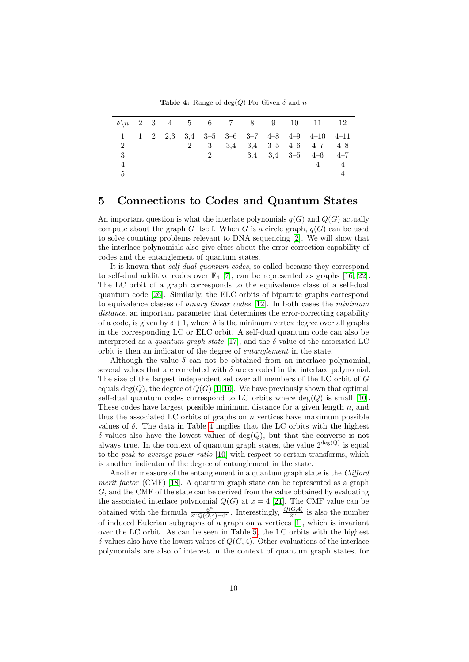<span id="page-9-1"></span>**Table 4:** Range of deg(Q) For Given  $\delta$  and n

|   |  |   |       |  |  | $\delta \n\begin{matrix}\nn \n2 \n3 \n4 \n5 \n6 \n7 \n8 \n9 \n10 \n11 \n12\n\end{matrix}$ |  |
|---|--|---|-------|--|--|-------------------------------------------------------------------------------------------|--|
|   |  |   |       |  |  | 1 1 2 2,3 3,4 3-5 3-6 3-7 4-8 4-9 4-10 4-11                                               |  |
| 2 |  | 2 |       |  |  | 3 3.4 3.4 3-5 4-6 4-7 4-8                                                                 |  |
| 3 |  |   | $2 -$ |  |  | $3,4$ $3,4$ $3-5$ $4-6$ $4-7$                                                             |  |
|   |  |   |       |  |  | 4                                                                                         |  |
| 5 |  |   |       |  |  |                                                                                           |  |

# <span id="page-9-0"></span>5 Connections to Codes and Quantum States

An important question is what the interlace polynomials  $q(G)$  and  $Q(G)$  actually compute about the graph G itself. When G is a circle graph,  $q(G)$  can be used to solve counting problems relevant to DNA sequencing [\[2\]](#page-16-1). We will show that the interlace polynomials also give clues about the error-correction capability of codes and the entanglement of quantum states.

It is known that self-dual quantum codes, so called because they correspond to self-dual additive codes over  $\mathbb{F}_4$  [\[7\]](#page-17-15), can be represented as graphs [\[16,](#page-17-16) [22\]](#page-17-17). The LC orbit of a graph corresponds to the equivalence class of a self-dual quantum code [\[26\]](#page-18-0). Similarly, the ELC orbits of bipartite graphs correspond to equivalence classes of *binary linear codes* [\[12\]](#page-17-6). In both cases the *minimum* distance, an important parameter that determines the error-correcting capability of a code, is given by  $\delta + 1$ , where  $\delta$  is the minimum vertex degree over all graphs in the corresponding LC or ELC orbit. A self-dual quantum code can also be interpreted as a quantum graph state [\[17\]](#page-17-7), and the  $\delta$ -value of the associated LC orbit is then an indicator of the degree of entanglement in the state.

Although the value  $\delta$  can not be obtained from an interlace polynomial, several values that are correlated with  $\delta$  are encoded in the interlace polynomial. The size of the largest independent set over all members of the LC orbit of G equals deg(Q), the degree of  $Q(G)$  [\[1,](#page-16-2) [10\]](#page-17-4). We have previously shown that optimal self-dual quantum codes correspond to LC orbits where  $deg(Q)$  is small [\[10\]](#page-17-4). These codes have largest possible minimum distance for a given length  $n$ , and thus the associated LC orbits of graphs on  $n$  vertices have maximum possible values of  $\delta$ . The data in Table [4](#page-9-1) implies that the LC orbits with the highest  $\delta$ -values also have the lowest values of deg(Q), but that the converse is not always true. In the context of quantum graph states, the value  $2^{\deg(Q)}$  is equal to the *peak-to-average power ratio* [\[10\]](#page-17-4) with respect to certain transforms, which is another indicator of the degree of entanglement in the state.

Another measure of the entanglement in a quantum graph state is the Clifford merit factor (CMF) [\[18\]](#page-17-8). A quantum graph state can be represented as a graph G, and the CMF of the state can be derived from the value obtained by evaluating the associated interlace polynomial  $Q(G)$  at  $x = 4$  [\[21\]](#page-17-9). The CMF value can be obtained with the formula  $\frac{6^n}{2^nQ(G,4)-6^n}$ . Interestingly,  $\frac{Q(G,4)}{2^n}$  is also the number of induced Eulerian subgraphs of a graph on  $n$  vertices [\[1\]](#page-16-2), which is invariant over the LC orbit. As can be seen in Table [5,](#page-10-0) the LC orbits with the highest  $\delta$ -values also have the lowest values of  $Q(G, 4)$ . Other evaluations of the interlace polynomials are also of interest in the context of quantum graph states, for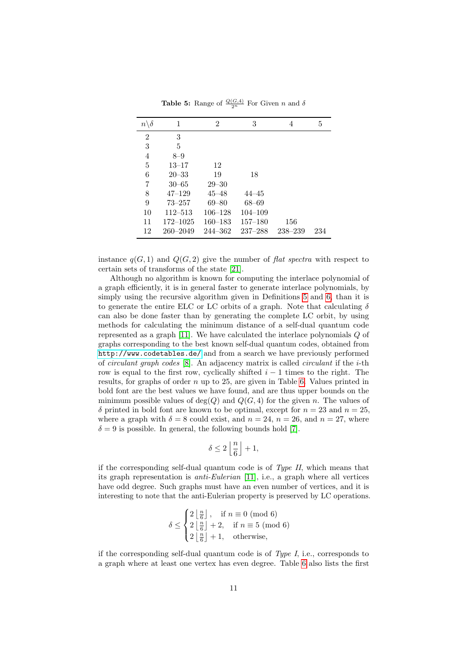| $n \backslash \delta$ | 1            | 2           | 3           | 4           | 5   |
|-----------------------|--------------|-------------|-------------|-------------|-----|
| 2                     | 3            |             |             |             |     |
| 3                     | 5            |             |             |             |     |
| 4                     | $8 - 9$      |             |             |             |     |
| $\overline{5}$        | $13 - 17$    | 12          |             |             |     |
| 6                     | $20 - 33$    | 19          | 18          |             |     |
| 7                     | $30 - 65$    | $29 - 30$   |             |             |     |
| 8                     | $47 - 129$   | 45–48       | 44–45       |             |     |
| 9                     | $73 - 257$   | $69 - 80$   | $68 - 69$   |             |     |
| 10                    | $112 - 513$  | $106 - 128$ | $104 - 109$ |             |     |
| 11                    | $172 - 1025$ | $160 - 183$ | $157 - 180$ | 156         |     |
| 12                    | $260 - 2049$ | $244 - 362$ | $237 - 288$ | $238 - 239$ | 234 |

<span id="page-10-0"></span>**Table 5:** Range of  $\frac{Q(G, 4)}{2^n}$  For Given *n* and  $\delta$ 

instance  $q(G, 1)$  and  $Q(G, 2)$  give the number of flat spectra with respect to certain sets of transforms of the state [\[21\]](#page-17-9).

Although no algorithm is known for computing the interlace polynomial of a graph efficiently, it is in general faster to generate interlace polynomials, by simply using the recursive algorithm given in Definitions [5](#page-2-1) and [6,](#page-2-2) than it is to generate the entire ELC or LC orbits of a graph. Note that calculating  $\delta$ can also be done faster than by generating the complete LC orbit, by using methods for calculating the minimum distance of a self-dual quantum code represented as a graph [\[11\]](#page-17-10). We have calculated the interlace polynomials Q of graphs corresponding to the best known self-dual quantum codes, obtained from <http://www.codetables.de/> and from a search we have previously performed of circulant graph codes [\[8\]](#page-17-18). An adjacency matrix is called circulant if the i-th row is equal to the first row, cyclically shifted  $i - 1$  times to the right. The results, for graphs of order n up to 25, are given in Table [6.](#page-13-0) Values printed in bold font are the best values we have found, and are thus upper bounds on the minimum possible values of  $deg(Q)$  and  $Q(G, 4)$  for the given n. The values of  $\delta$  printed in bold font are known to be optimal, except for  $n = 23$  and  $n = 25$ , where a graph with  $\delta = 8$  could exist, and  $n = 24$ ,  $n = 26$ , and  $n = 27$ , where  $\delta = 9$  is possible. In general, the following bounds hold [\[7\]](#page-17-15).

$$
\delta \leq 2\left\lfloor\frac{n}{6}\right\rfloor+1,
$$

if the corresponding self-dual quantum code is of  $Type\ H$ , which means that its graph representation is anti-Eulerian [\[11\]](#page-17-10), i.e., a graph where all vertices have odd degree. Such graphs must have an even number of vertices, and it is interesting to note that the anti-Eulerian property is preserved by LC operations.

$$
\delta \le \begin{cases} 2\left\lfloor \frac{n}{6} \right\rfloor, & \text{if } n \equiv 0 \pmod{6} \\ 2\left\lfloor \frac{n}{6} \right\rfloor + 2, & \text{if } n \equiv 5 \pmod{6} \\ 2\left\lfloor \frac{n}{6} \right\rfloor + 1, & \text{otherwise,} \end{cases}
$$

if the corresponding self-dual quantum code is of  $Type I$ , i.e., corresponds to a graph where at least one vertex has even degree. Table [6](#page-13-0) also lists the first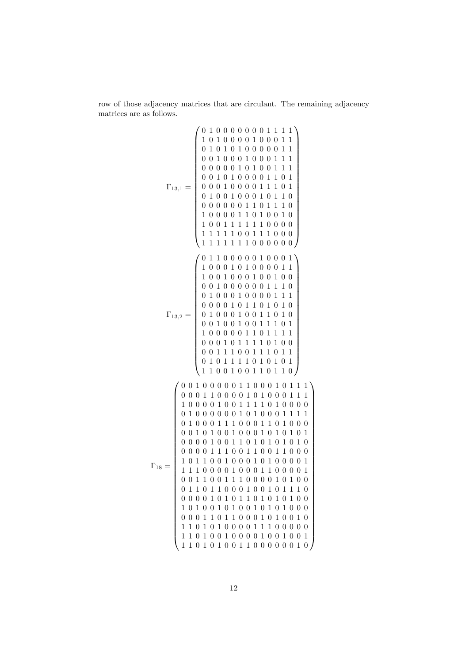row of those adjacency matrices that are circulant. The remaining adjacency matrices are as follows.

$$
\Gamma_{13,1}=\left(\begin{array}{cccccccccccc} 0&1&0&0&0&0&0&0&0&1&1&1&1\\ 1&0&1&0&0&0&0&0&0&0&1&1&1\\ 0&1&0&1&0&1&0&0&0&0&1&1&1\\ 0&0&1&0&0&0&1&0&0&1&1&1\\ 0&0&0&0&1&0&1&0&0&1&1&0&1\\ 0&0&0&0&0&1&1&0&1&0&1\\ 0&0&0&0&0&1&1&1&0&1&0\\ 0&0&0&0&0&1&1&0&1&1&0\\ 0&0&0&0&0&1&1&0&1&1&0\\ 1&0&0&0&0&1&1&0&1&0&0&0\\ 1&0&0&0&1&1&0&1&0&0&1&0\\ 1&0&0&1&1&1&1&1&0&0&0&0\\ 1&1&1&1&1&1&0&0&0&0&0&1\\ 1&0&0&1&0&1&0&0&0&0&1&1\\ 1&0&0&1&0&0&0&0&1&1&1\\ 0&0&1&0&0&0&0&1&1&1&0\\ 0&1&0&0&0&0&0&1&1&1&0\\ 0&1&0&0&0&0&0&1&1&1&0\\ 0&1&0&0&0&0&0&1&1&1&0\\ 0&1&0&0&0&0&0&1&1&1&0\\ 0&1&0&0&0&1&0&1&0&1&0\\ 0&0&1&0&0&1&1&0&1&0&1\\ 0&0&0&0&1&1&1&0&1&0&1\\ 0&0&0&0&1&1&1&0&1&0&1\\ 0&0&0&0&1&1&1&0&1&0&1\\ 0&0&0&1&0&1&1&0&1&0&1\\ 0&0&0&1&0&1&1&0&1&0&1\\ 0&0&0&1&0&1&1&0&1&0&1\\ 0&0&0&1&0&1&1&0&1&0&1\\ 0&0&0&0&0&1&1&1&0&1&0&0\\ 0&0&1&1&1&0&0&0&1&1&
$$

 $\setminus$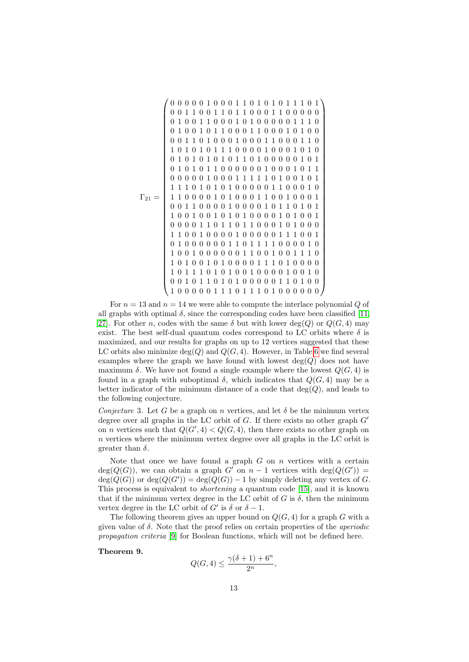Γ<sup>21</sup> = 0 0 0 0 0 1 0 0 0 1 1 0 1 0 1 0 1 1 1 0 1 0 0 1 1 0 0 1 1 0 1 1 0 0 0 1 1 0 0 0 0 0 0 1 0 0 1 1 0 0 0 1 0 1 0 0 0 0 0 1 1 1 0 0 1 0 0 1 0 1 1 0 0 0 1 1 0 0 0 1 0 1 0 0 0 0 1 1 0 1 0 0 0 1 0 0 0 1 1 0 0 0 1 1 0 1 0 1 0 1 0 1 1 1 0 0 0 0 1 0 0 0 1 0 1 0 0 1 0 1 0 1 0 1 0 1 1 0 1 0 0 0 0 0 1 0 1 0 1 0 1 0 1 1 0 0 0 0 0 0 1 0 0 0 1 0 1 1 0 0 0 0 0 1 0 0 0 1 1 1 1 1 0 1 0 0 1 0 1 1 1 1 0 1 0 1 0 1 0 0 0 0 0 1 1 0 0 0 1 0 1 1 0 0 0 0 1 0 1 0 0 0 1 1 0 0 1 0 0 0 1 0 0 1 1 0 0 0 0 1 0 0 0 0 1 0 1 1 0 1 0 1 1 0 0 1 0 0 1 0 1 0 1 0 0 0 0 1 0 1 0 0 1 0 0 0 0 1 1 0 1 1 0 1 1 0 0 0 1 0 1 0 0 0 1 1 0 0 1 0 0 0 0 1 0 0 0 0 0 1 1 1 0 0 1 0 1 0 0 0 0 0 0 1 1 0 1 1 1 1 0 0 0 0 1 0 1 0 0 1 0 0 0 0 0 0 1 1 0 0 1 0 0 1 1 1 0 1 0 1 0 0 1 0 1 0 0 0 0 1 1 1 0 1 0 0 0 0 1 0 1 1 1 0 1 0 1 0 0 1 0 0 0 0 1 0 0 1 0 0 0 1 0 1 1 0 1 0 1 0 0 0 0 0 1 1 0 1 0 0 1 0 0 0 0 0 1 1 1 0 1 1 1 0 1 0 0 0 0 0 0 

For  $n = 13$  and  $n = 14$  we were able to compute the interlace polynomial Q of all graphs with optimal  $\delta$ , since the corresponding codes have been classified [\[11,](#page-17-10) 27. For other n, codes with the same  $\delta$  but with lower deg(Q) or  $Q(G, 4)$  may exist. The best self-dual quantum codes correspond to LC orbits where  $\delta$  is maximized, and our results for graphs on up to 12 vertices suggested that these LC orbits also minimize  $deg(Q)$  and  $Q(G, 4)$ . However, in Table [6](#page-13-0) we find several examples where the graph we have found with lowest  $deg(Q)$  does not have maximum  $\delta$ . We have not found a single example where the lowest  $Q(G, 4)$  is found in a graph with suboptimal  $\delta$ , which indicates that  $Q(G, 4)$  may be a better indicator of the minimum distance of a code that  $deg(Q)$ , and leads to the following conjecture.

Conjecture 3. Let G be a graph on n vertices, and let  $\delta$  be the minimum vertex degree over all graphs in the LC orbit of  $G$ . If there exists no other graph  $G'$ on *n* vertices such that  $Q(G', 4) < Q(G, 4)$ , then there exists no other graph on  $n$  vertices where the minimum vertex degree over all graphs in the LC orbit is greater than  $\delta$ .

Note that once we have found a graph  $G$  on  $n$  vertices with a certain  $deg(Q(G))$ , we can obtain a graph G' on  $n-1$  vertices with  $deg(Q(G'))$  $deg(Q(G))$  or  $deg(Q(G')) = deg(Q(G)) - 1$  by simply deleting any vertex of G. This process is equivalent to shortening a quantum code [\[15\]](#page-17-19), and it is known that if the minimum vertex degree in the LC orbit of G is  $\delta$ , then the minimum vertex degree in the LC orbit of  $G'$  is  $\delta$  or  $\delta - 1$ .

The following theorem gives an upper bound on  $Q(G, 4)$  for a graph G with a given value of  $\delta$ . Note that the proof relies on certain properties of the *aperiodic* propagation criteria [\[9\]](#page-17-20) for Boolean functions, which will not be defined here.

Theorem 9.

$$
Q(G, 4) \le \frac{\gamma(\delta + 1) + 6^n}{2^n},
$$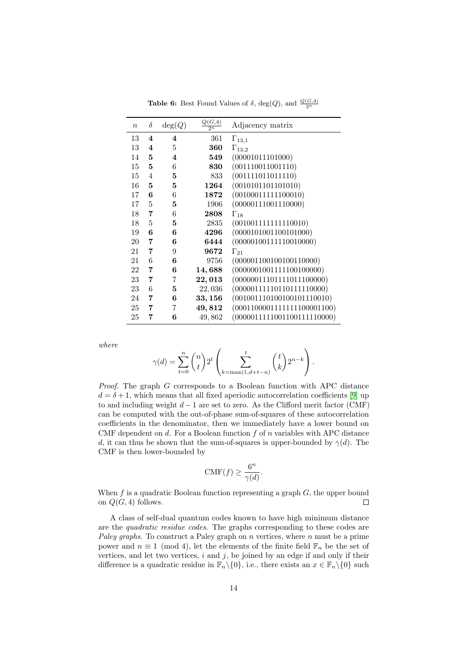| $\boldsymbol{n}$ | $\delta$                | deg(Q) | $\frac{Q(G,4)}{2^n}$ | Adjacency matrix            |
|------------------|-------------------------|--------|----------------------|-----------------------------|
| 13               | $\bf{4}$                | 4      | 361                  | $\Gamma_{13,1}$             |
| 13               | $\overline{\mathbf{4}}$ | 5      | 360                  | $\Gamma_{13,2}$             |
| 14               | 5                       | 4      | 549                  | (00001011101000)            |
| 15               | $\bf{5}$                | 6      | 830                  | (001110011001110)           |
| 15               | 4                       | 5      | 833                  | (001111011011110)           |
| 16               | 5                       | 5      | 1264                 | (0010101101101010)          |
| 17               | 6                       | 6      | 1872                 | (00100011111100010)         |
| 17               | 5                       | 5      | 1906                 | (00000111001110000)         |
| 18               | 7                       | 6      | 2808                 | $\Gamma_{18}$               |
| 18               | 5                       | 5      | 2835                 | (001001111111110010)        |
| 19               | 6                       | 6      | 4296                 | (0000101001100101000)       |
| 20               | 7                       | 6      | 6444                 | (00000100111110010000)      |
| 21               | 7                       | 9      | 9672                 | $\Gamma_{21}$               |
| 21               | 6                       | 6      | 9756                 | (000001100100100110000)     |
| 22               | 7                       | 6      | 14,688               | (0000001001111100100000)    |
| 23               | 7                       | 7      | 22,013               | (00000011101111011100000)   |
| 23               | 6                       | 5      | 22,036               | (00000111110110111110000)   |
| 24               | 7                       | 6      | 33,156               | (001001110100100101110010)  |
| 25               | 7                       | 7      | 49,812               | (0001100001111111100001100) |
| 25               | 7                       | 6      | 49,862               | (0000011111001100111110000) |

<span id="page-13-0"></span>**Table 6:** Best Found Values of  $\delta$ , deg(*Q*), and  $\frac{Q(G, 4)}{2^n}$ 

where

$$
\gamma(d) = \sum_{t=0}^{n} {n \choose t} 2^t \left( \sum_{k=\max(1,d+t-n)}^{t} {t \choose k} 2^{n-k} \right).
$$

Proof. The graph G corresponds to a Boolean function with APC distance  $d = \delta + 1$ , which means that all fixed aperiodic autocorrelation coefficients [\[9\]](#page-17-20) up to and including weight  $d-1$  are set to zero. As the Clifford merit factor (CMF) can be computed with the out-of-phase sum-of-squares of these autocorrelation coefficients in the denominator, then we immediately have a lower bound on CMF dependent on  $d$ . For a Boolean function  $f$  of  $n$  variables with APC distance d, it can thus be shown that the sum-of-squares is upper-bounded by  $\gamma(d)$ . The CMF is then lower-bounded by

$$
\text{CMF}(f) \ge \frac{6^n}{\gamma(d)}.
$$

When  $f$  is a quadratic Boolean function representing a graph  $G$ , the upper bound on  $Q(G, 4)$  follows.  $\Box$ 

A class of self-dual quantum codes known to have high minimum distance are the quadratic residue codes. The graphs corresponding to these codes are Paley graphs. To construct a Paley graph on  $n$  vertices, where  $n$  must be a prime power and  $n \equiv 1 \pmod{4}$ , let the elements of the finite field  $\mathbb{F}_n$  be the set of vertices, and let two vertices,  $i$  and  $j$ , be joined by an edge if and only if their difference is a quadratic residue in  $\mathbb{F}_n \setminus \{0\}$ , i.e., there exists an  $x \in \mathbb{F}_n \setminus \{0\}$  such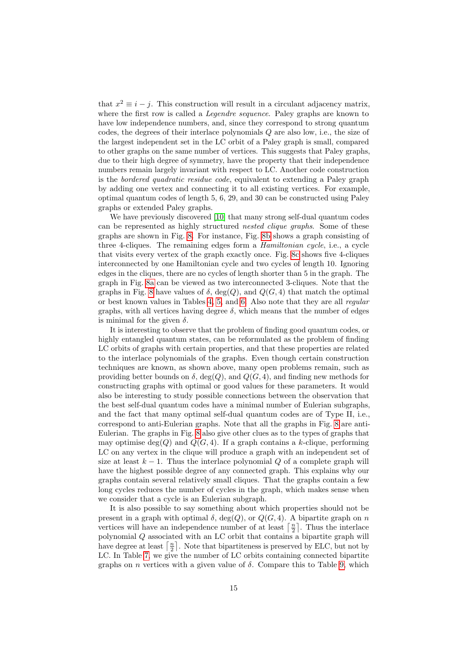that  $x^2 \equiv i - j$ . This construction will result in a circulant adjacency matrix, where the first row is called a *Legendre sequence*. Paley graphs are known to have low independence numbers, and, since they correspond to strong quantum codes, the degrees of their interlace polynomials Q are also low, i.e., the size of the largest independent set in the LC orbit of a Paley graph is small, compared to other graphs on the same number of vertices. This suggests that Paley graphs, due to their high degree of symmetry, have the property that their independence numbers remain largely invariant with respect to LC. Another code construction is the bordered quadratic residue code, equivalent to extending a Paley graph by adding one vertex and connecting it to all existing vertices. For example, optimal quantum codes of length 5, 6, 29, and 30 can be constructed using Paley graphs or extended Paley graphs.

We have previously discovered [\[10\]](#page-17-4) that many strong self-dual quantum codes can be represented as highly structured *nested clique graphs*. Some of these graphs are shown in Fig. [8.](#page-15-0) For instance, Fig. [8b](#page-15-1) shows a graph consisting of three 4-cliques. The remaining edges form a *Hamiltonian cycle*, i.e., a cycle that visits every vertex of the graph exactly once. Fig. [8c](#page-15-2) shows five 4-cliques interconnected by one Hamiltonian cycle and two cycles of length 10. Ignoring edges in the cliques, there are no cycles of length shorter than 5 in the graph. The graph in Fig. [8a](#page-15-3) can be viewed as two interconnected 3-cliques. Note that the graphs in Fig. [8](#page-15-0) have values of  $\delta$ , deg(Q), and  $Q(G, 4)$  that match the optimal or best known values in Tables [4,](#page-9-1) [5,](#page-10-0) and [6.](#page-13-0) Also note that they are all regular graphs, with all vertices having degree  $\delta$ , which means that the number of edges is minimal for the given  $\delta$ .

It is interesting to observe that the problem of finding good quantum codes, or highly entangled quantum states, can be reformulated as the problem of finding LC orbits of graphs with certain properties, and that these properties are related to the interlace polynomials of the graphs. Even though certain construction techniques are known, as shown above, many open problems remain, such as providing better bounds on  $\delta$ , deg(Q), and  $Q(G, 4)$ , and finding new methods for constructing graphs with optimal or good values for these parameters. It would also be interesting to study possible connections between the observation that the best self-dual quantum codes have a minimal number of Eulerian subgraphs, and the fact that many optimal self-dual quantum codes are of Type II, i.e., correspond to anti-Eulerian graphs. Note that all the graphs in Fig. [8](#page-15-0) are anti-Eulerian. The graphs in Fig. [8](#page-15-0) also give other clues as to the types of graphs that may optimise deg(Q) and  $Q(G, 4)$ . If a graph contains a k-clique, performing LC on any vertex in the clique will produce a graph with an independent set of size at least  $k - 1$ . Thus the interlace polynomial Q of a complete graph will have the highest possible degree of any connected graph. This explains why our graphs contain several relatively small cliques. That the graphs contain a few long cycles reduces the number of cycles in the graph, which makes sense when we consider that a cycle is an Eulerian subgraph.

It is also possible to say something about which properties should not be present in a graph with optimal  $\delta$ , deg(Q), or  $Q(G, 4)$ . A bipartite graph on n vertices will have an independence number of at least  $\lceil \frac{n}{2} \rceil$ . Thus the interlace polynomial Q associated with an LC orbit that contains a bipartite graph will have degree at least  $\lceil \frac{n}{2} \rceil$ . Note that bipartiteness is preserved by ELC, but not by LC. In Table [7,](#page-16-3) we give the number of LC orbits containing connected bipartite graphs on n vertices with a given value of  $\delta$ . Compare this to Table [9,](#page-16-4) which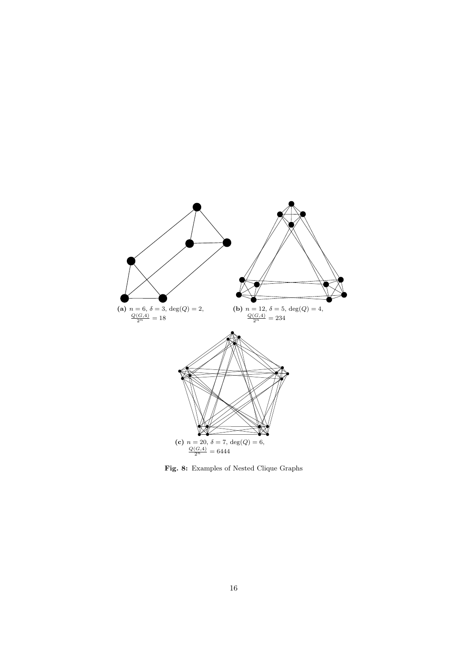<span id="page-15-3"></span><span id="page-15-2"></span><span id="page-15-1"></span>

<span id="page-15-0"></span>Fig. 8: Examples of Nested Clique Graphs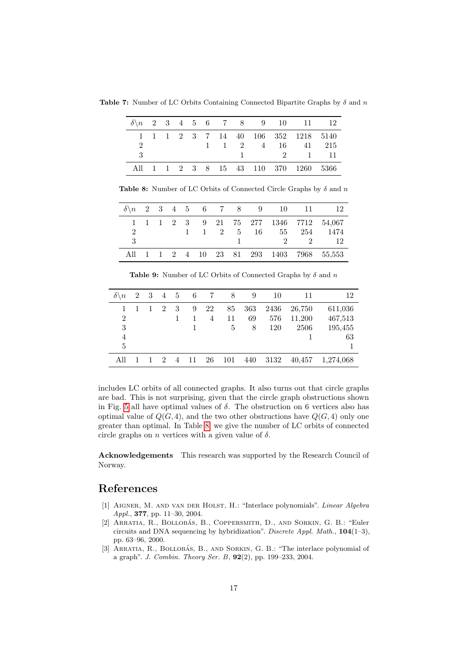**Table 7:** Number of LC Orbits Containing Connected Bipartite Graphs by  $\delta$  and n

<span id="page-16-3"></span>

|     |  |  |  |  | $\delta \n\begin{matrix}\n0.2 & 3 & 4 & 5 & 6 & 7 & 8 & 9 & 10 & 11 & 12\n\end{matrix}$ |  |
|-----|--|--|--|--|-----------------------------------------------------------------------------------------|--|
|     |  |  |  |  | 1 1 1 2 3 7 14 40 106 352 1218 5140                                                     |  |
| 2   |  |  |  |  | 1 1 2 4 16 41 215                                                                       |  |
| - 3 |  |  |  |  | $1 \t 2 \t 1 \t 11$                                                                     |  |
|     |  |  |  |  | All 1 1 2 3 8 15 43 110 370 1260 5366                                                   |  |

<span id="page-16-5"></span>Table 8: Number of LC Orbits of Connected Circle Graphs by  $\delta$  and n

|   |  |  |  |  |  | $\delta \n\begin{matrix}\n0 & 2 & 3 & 4 & 5 & 6 & 7 & 8 & 9 & 10 & 11 & 12\n\end{matrix}$ |
|---|--|--|--|--|--|-------------------------------------------------------------------------------------------|
|   |  |  |  |  |  | 1 1 1 2 3 9 21 75 277 1346 7712 54,067                                                    |
| 2 |  |  |  |  |  | 1 1 2 5 16 55 254 1474                                                                    |
| 3 |  |  |  |  |  | $1 \t 2 \t 2 \t 12$                                                                       |
|   |  |  |  |  |  | All 1 1 2 4 10 23 81 293 1403 7968 55,553                                                 |

<span id="page-16-4"></span>**Table 9:** Number of LC Orbits of Connected Graphs by  $\delta$  and n

| $\delta \backslash n$ |  | 2 3 4 5        |                | 6 | $7\overline{7}$ | 8   | 9   | 10   | 11     | 12        |
|-----------------------|--|----------------|----------------|---|-----------------|-----|-----|------|--------|-----------|
| 1.                    |  | 2              | 3              | 9 | 22              | 85  | 363 | 2436 | 26,750 | 611,036   |
| 2                     |  |                |                |   | $\overline{4}$  | 11  | 69  | 576  | 11,200 | 467,513   |
| 3                     |  |                |                |   |                 | 5   | 8   | 120  | 2506   | 195,455   |
| 4                     |  |                |                |   |                 |     |     |      |        | 63        |
| 5                     |  |                |                |   |                 |     |     |      |        |           |
|                       |  | $\mathfrak{D}$ | $\overline{4}$ |   | 26              | 101 | 440 | 3132 | 40,457 | 1,274,068 |

includes LC orbits of all connected graphs. It also turns out that circle graphs are bad. This is not surprising, given that the circle graph obstructions shown in Fig. [5](#page-6-2) all have optimal values of  $\delta$ . The obstruction on 6 vertices also has optimal value of  $Q(G, 4)$ , and the two other obstructions have  $Q(G, 4)$  only one greater than optimal. In Table [8,](#page-16-5) we give the number of LC orbits of connected circle graphs on *n* vertices with a given value of  $\delta$ .

Acknowledgements This research was supported by the Research Council of Norway.

## References

- <span id="page-16-2"></span>[1] Aigner, M. and van der Holst, H.: "Interlace polynomials". Linear Algebra Appl., 377, pp. 11–30, 2004.
- <span id="page-16-1"></span>[2] ARRATIA, R., BOLLOBÁS, B., COPPERSMITH, D., AND SORKIN, G. B.: "Euler circuits and DNA sequencing by hybridization". Discrete Appl. Math.,  $104(1-3)$ , pp. 63–96, 2000.
- <span id="page-16-0"></span>[3] ARRATIA, R., BOLLOBÁS, B., AND SORKIN, G. B.: "The interlace polynomial of a graph". J. Combin. Theory Ser. B, 92(2), pp. 199–233, 2004.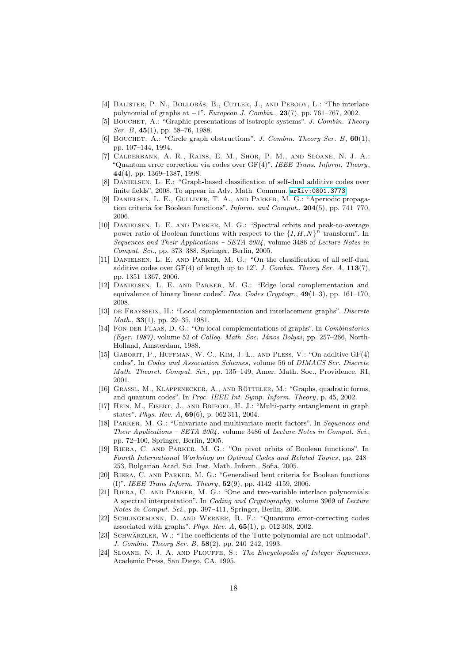- <span id="page-17-5"></span>[4] BALISTER, P. N., BOLLOBÁS, B., CUTLER, J., AND PEBODY, L.: "The interlace polynomial of graphs at  $-1$ ". European J. Combin., 23(7), pp. 761–767, 2002.
- <span id="page-17-0"></span>[5] BOUCHET, A.: "Graphic presentations of isotropic systems". J. Combin. Theory Ser. B, 45(1), pp. 58–76, 1988.
- <span id="page-17-13"></span>[6] BOUCHET, A.: "Circle graph obstructions". J. Combin. Theory Ser. B,  $60(1)$ , pp. 107–144, 1994.
- <span id="page-17-15"></span>[7] Calderbank, A. R., Rains, E. M., Shor, P. M., and Sloane, N. J. A.: "Quantum error correction via codes over  $GF(4)$ ". IEEE Trans. Inform. Theory, 44(4), pp. 1369–1387, 1998.
- <span id="page-17-18"></span>[8] Danielsen, L. E.: "Graph-based classification of self-dual additive codes over finite fields", 2008. To appear in Adv. Math. Commun. [arXiv:0801.3773](http://arxiv.org/pdf/0801.3773).
- <span id="page-17-20"></span>[9] Danielsen, L. E., Gulliver, T. A., and Parker, M. G.: "Aperiodic propagation criteria for Boolean functions". Inform. and Comput., 204(5), pp. 741–770, 2006.
- <span id="page-17-4"></span>[10] Danielsen, L. E. and Parker, M. G.: "Spectral orbits and peak-to-average power ratio of Boolean functions with respect to the  $\{I, H, N\}^n$  transform". In Sequences and Their Applications - SETA 2004, volume 3486 of Lecture Notes in Comput. Sci., pp. 373–388, Springer, Berlin, 2005.
- <span id="page-17-10"></span>[11] DANIELSEN, L. E. AND PARKER, M. G.: "On the classification of all self-dual additive codes over  $GF(4)$  of length up to 12". J. Combin. Theory Ser. A,  $113(7)$ , pp. 1351–1367, 2006.
- <span id="page-17-6"></span>[12] DANIELSEN, L. E. AND PARKER, M. G.: "Edge local complementation and equivalence of binary linear codes". Des. Codes Cryptogr.,  $49(1-3)$ , pp. 161–170, 2008.
- <span id="page-17-1"></span>[13] DE FRAYSSEIX, H.: "Local complementation and interlacement graphs". Discrete Math., 33(1), pp. 29–35, 1981.
- <span id="page-17-2"></span>[14] FON-DER FLAAS, D. G.: "On local complementations of graphs". In Combinatorics (Eger, 1987), volume 52 of Colloq. Math. Soc. János Bolyai, pp. 257–266, North-Holland, Amsterdam, 1988.
- <span id="page-17-19"></span>[15] Gaborit, P., Huffman, W. C., Kim, J.-L., and Pless, V.: "On additive GF(4) codes". In Codes and Association Schemes, volume 56 of DIMACS Ser. Discrete Math. Theoret. Comput. Sci., pp. 135–149, Amer. Math. Soc., Providence, RI, 2001.
- <span id="page-17-16"></span>[16] GRASSL, M., KLAPPENECKER, A., AND RÖTTELER, M.: "Graphs, quadratic forms, and quantum codes". In Proc. IEEE Int. Symp. Inform. Theory, p. 45, 2002.
- <span id="page-17-7"></span>[17] Hein, M., Eisert, J., and Briegel, H. J.: "Multi-party entanglement in graph states". Phys. Rev. A, 69(6), p. 062 311, 2004.
- <span id="page-17-8"></span>[18] Parker, M. G.: "Univariate and multivariate merit factors". In Sequences and Their Applications – SETA 2004 , volume 3486 of Lecture Notes in Comput. Sci., pp. 72–100, Springer, Berlin, 2005.
- <span id="page-17-11"></span>[19] Riera, C. and Parker, M. G.: "On pivot orbits of Boolean functions". In Fourth International Workshop on Optimal Codes and Related Topics , pp. 248– 253, Bulgarian Acad. Sci. Inst. Math. Inform., Sofia, 2005.
- <span id="page-17-3"></span>[20] Riera, C. and Parker, M. G.: "Generalised bent criteria for Boolean functions (I)". IEEE Trans Inform. Theory, 52(9), pp. 4142–4159, 2006.
- <span id="page-17-9"></span>[21] Riera, C. and Parker, M. G.: "One and two-variable interlace polynomials: A spectral interpretation". In Coding and Cryptography, volume 3969 of Lecture Notes in Comput. Sci., pp. 397–411, Springer, Berlin, 2006.
- <span id="page-17-17"></span>[22] Schlingemann, D. and Werner, R. F.: "Quantum error-correcting codes associated with graphs". Phys. Rev. A, 65(1), p. 012 308, 2002.
- <span id="page-17-14"></span>[23] SCHWÄRZLER, W.: "The coefficients of the Tutte polynomial are not unimodal". J. Combin. Theory Ser. B, 58(2), pp. 240–242, 1993.
- <span id="page-17-12"></span>[24] Sloane, N. J. A. and Plouffe, S.: The Encyclopedia of Integer Sequences. Academic Press, San Diego, CA, 1995.